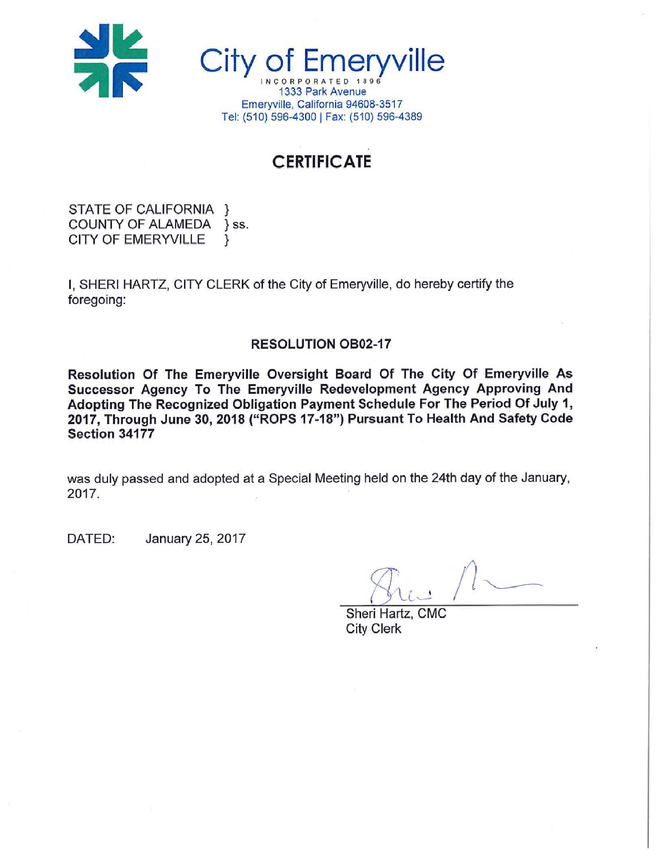

Emeryville City o

1333 Park Avenue Emeryville, California 94608-3517 Tel: (510) 596-4300 | Fax: (510) 596-4389

# **CERTIFICATE**

STATE OF CALIFORNIA } COUNTY OF ALAMEDA } ss. **CITY OF EMERYVILLE** ł

I, SHERI HARTZ, CITY CLERK of the City of Emeryville, do hereby certify the foregoing:

## **RESOLUTION OB02-17**

Resolution Of The Emeryville Oversight Board Of The City Of Emeryville As Successor Agency To The Emeryville Redevelopment Agency Approving And Adopting The Recognized Obligation Payment Schedule For The Period Of July 1, 2017, Through June 30, 2018 ("ROPS 17-18") Pursuant To Health And Safety Code Section 34177

was duly passed and adopted at a Special Meeting held on the 24th day of the January, 2017.

January 25, 2017 DATED:

Sheri Hartz, CMC **City Clerk**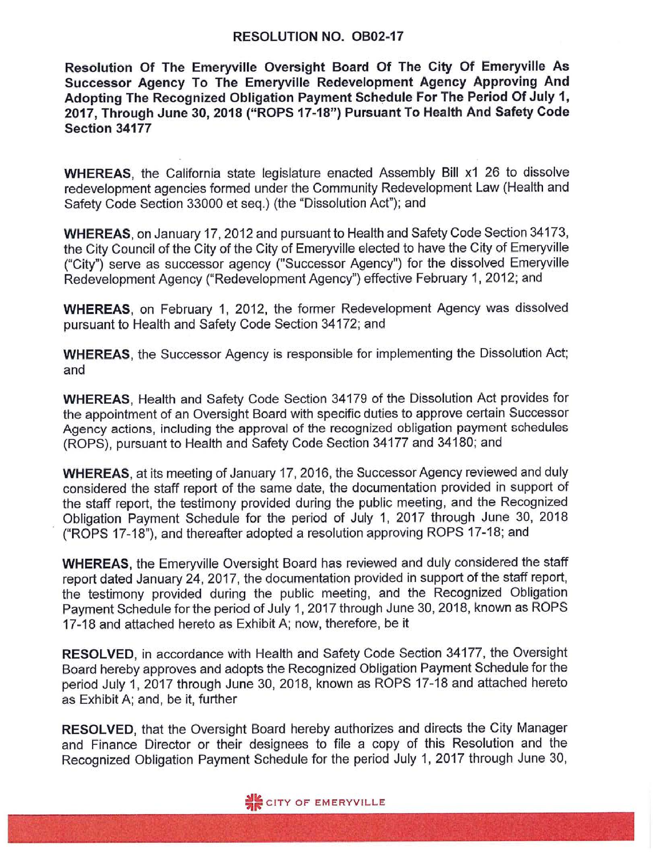### **RESOLUTION NO. OB02-17**

Resolution Of The Emeryville Oversight Board Of The City Of Emeryville As Successor Agency To The Emeryville Redevelopment Agency Approving And Adopting The Recognized Obligation Payment Schedule For The Period Of July 1, 2017, Through June 30, 2018 ("ROPS 17-18") Pursuant To Health And Safety Code Section 34177

**WHEREAS**, the California state legislature enacted Assembly Bill x1 26 to dissolve redevelopment agencies formed under the Community Redevelopment Law (Health and Safety Code Section 33000 et seg.) (the "Dissolution Act"); and

WHEREAS, on January 17, 2012 and pursuant to Health and Safety Code Section 34173, the City Council of the City of the City of Emeryville elected to have the City of Emeryville ("City") serve as successor agency ("Successor Agency") for the dissolved Emeryville Redevelopment Agency ("Redevelopment Agency") effective February 1, 2012; and

WHEREAS, on February 1, 2012, the former Redevelopment Agency was dissolved pursuant to Health and Safety Code Section 34172; and

**WHEREAS**, the Successor Agency is responsible for implementing the Dissolution Act; and

**WHEREAS.** Health and Safety Code Section 34179 of the Dissolution Act provides for the appointment of an Oversight Board with specific duties to approve certain Successor Agency actions, including the approval of the recognized obligation payment schedules (ROPS), pursuant to Health and Safety Code Section 34177 and 34180; and

**WHEREAS**, at its meeting of January 17, 2016, the Successor Agency reviewed and duly considered the staff report of the same date, the documentation provided in support of the staff report, the testimony provided during the public meeting, and the Recognized Obligation Payment Schedule for the period of July 1, 2017 through June 30, 2018 ("ROPS 17-18"), and thereafter adopted a resolution approving ROPS 17-18; and

**WHEREAS**, the Emeryville Oversight Board has reviewed and duly considered the staff report dated January 24, 2017, the documentation provided in support of the staff report, the testimony provided during the public meeting, and the Recognized Obligation Payment Schedule for the period of July 1, 2017 through June 30, 2018, known as ROPS 17-18 and attached hereto as Exhibit A; now, therefore, be it

RESOLVED, in accordance with Health and Safety Code Section 34177, the Oversight Board hereby approves and adopts the Recognized Obligation Payment Schedule for the period July 1, 2017 through June 30, 2018, known as ROPS 17-18 and attached hereto as Exhibit A; and, be it, further

RESOLVED, that the Oversight Board hereby authorizes and directs the City Manager and Finance Director or their designees to file a copy of this Resolution and the Recognized Obligation Payment Schedule for the period July 1, 2017 through June 30,

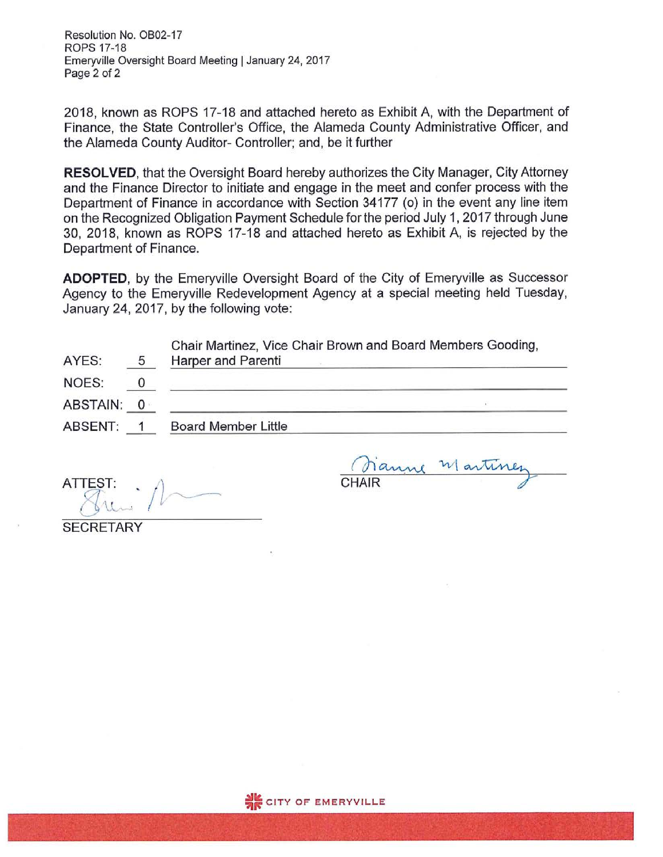Resolution No. OB02-17 **ROPS 17-18** Emeryville Oversight Board Meeting | January 24, 2017 Page 2 of 2

2018, known as ROPS 17-18 and attached hereto as Exhibit A, with the Department of Finance, the State Controller's Office, the Alameda County Administrative Officer, and the Alameda County Auditor- Controller; and, be it further

RESOLVED, that the Oversight Board hereby authorizes the City Manager, City Attorney and the Finance Director to initiate and engage in the meet and confer process with the Department of Finance in accordance with Section 34177 (o) in the event any line item on the Recognized Obligation Payment Schedule for the period July 1, 2017 through June 30, 2018, known as ROPS 17-18 and attached hereto as Exhibit A, is rejected by the Department of Finance.

**ADOPTED,** by the Emeryville Oversight Board of the City of Emeryville as Successor Agency to the Emeryville Redevelopment Agency at a special meeting held Tuesday, January 24, 2017, by the following vote:

| AYES:    | - 5 | Chair Martinez, Vice Chair Brown and Board Members Gooding,<br>Harper and Parenti |  |
|----------|-----|-----------------------------------------------------------------------------------|--|
| NOES:    |     |                                                                                   |  |
| ABSTAIN: |     |                                                                                   |  |
| ABSENT:  |     | <b>Board Member Little</b>                                                        |  |

**ATTEST:** 

CHAIR

**SECRETARY** 

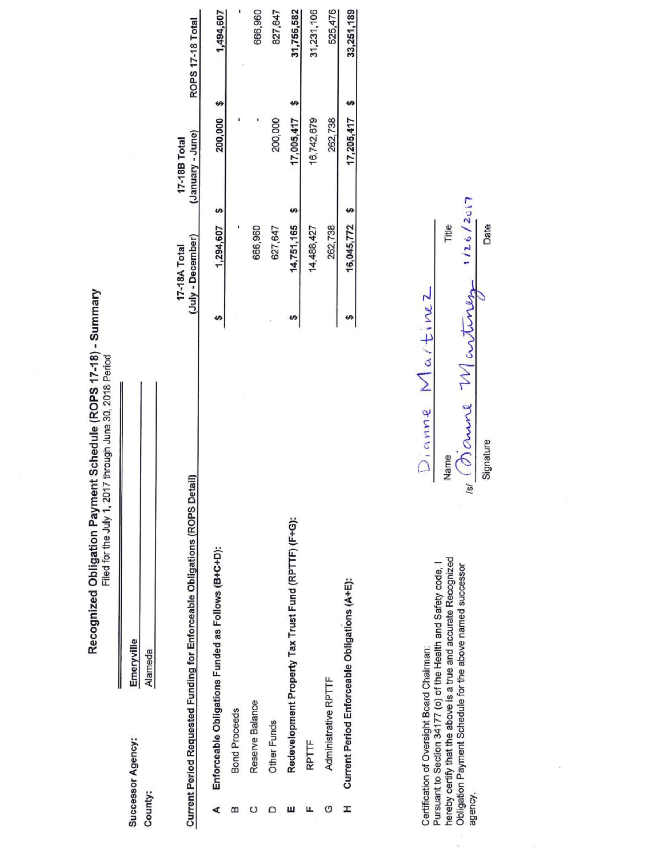Recognized Obligation Payment Schedule (ROPS 17-18) - Summary<br>Filed for the July 1, 2017 through June 30, 2018 Period

Emeryville Alameda Successor Agency: County:

|   | Current Period Requested Funding for Enforceable Obligations (ROPS Detail) | (July - December)<br>17-18A Total | (January - June)<br>17-18B Total |            | ROPS 17-18 Total |
|---|----------------------------------------------------------------------------|-----------------------------------|----------------------------------|------------|------------------|
|   |                                                                            |                                   |                                  |            |                  |
|   | Enforceable Obligations Funded as Follows (B+C+D);                         | $1,294,607$ \$                    |                                  | 200,000 \$ | 1,494,607        |
| m | <b>Bond Proceeds</b>                                                       |                                   |                                  |            |                  |
|   | Reserve Balance                                                            | 666,960                           |                                  |            | 666,960          |
|   | Other Funds                                                                | 627,647                           | 200,000                          |            | 827,647          |
|   | Redevelopment Property Tax Trust Fund (RPTTF) (F+G):                       | 14,751,165 \$                     | $17,005,417$ \$                  |            | 31,756,582       |
|   | RPTTF                                                                      | 14,488,427                        | 16,742,679                       |            | 31,231,106       |
| G | Administrative RPTTF                                                       | 262,738                           | 262,738                          |            | 525,476          |
| x | Current Period Enforceable Obligations (A+E):                              | 16,045,772 \$                     | $17,205,417$ \$                  |            | 33,251,189       |
|   |                                                                            |                                   |                                  |            |                  |

Pursuant to Section 34177 (o) of the Health and Safety code, I<br>hereby certify that the above is a true and accurate Recognized<br>Obligation Payment Schedule for the above named successor Certification of Oversight Board Chairman: agency.

 $1/26/2017$ Title Date 18 Danne Martinez Dianne Martinez Signature Name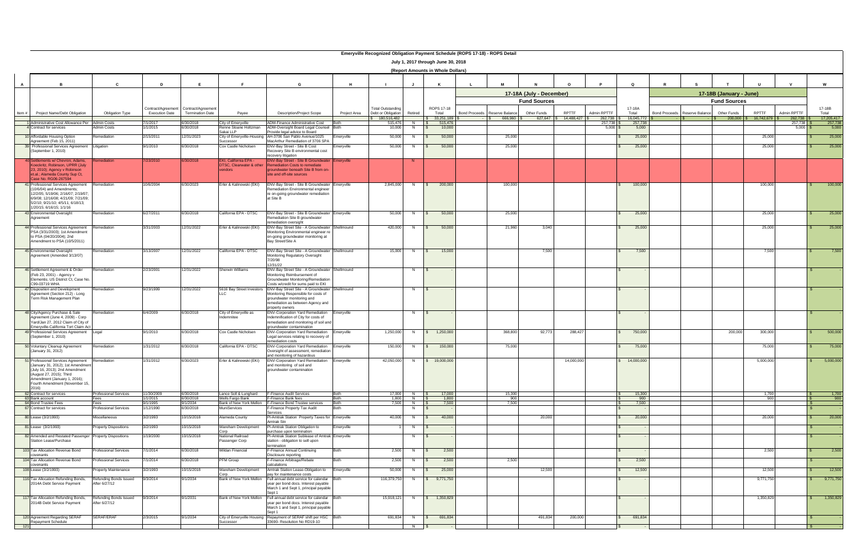|          | Emeryvine Recognized Obligation Payment Schedule (ROPS 17-16) - ROPS Detail<br>July 1, 2017 through June 30, 2018                                                                                                |                                         |                        |                                                                  |                                             |                                                                                                                                                                             |               |                                                               |                          |                                     |                      |                            |                                      |              |                        |                               |                                                        |                                     |                  |                               |
|----------|------------------------------------------------------------------------------------------------------------------------------------------------------------------------------------------------------------------|-----------------------------------------|------------------------|------------------------------------------------------------------|---------------------------------------------|-----------------------------------------------------------------------------------------------------------------------------------------------------------------------------|---------------|---------------------------------------------------------------|--------------------------|-------------------------------------|----------------------|----------------------------|--------------------------------------|--------------|------------------------|-------------------------------|--------------------------------------------------------|-------------------------------------|------------------|-------------------------------|
|          |                                                                                                                                                                                                                  |                                         |                        |                                                                  |                                             |                                                                                                                                                                             |               |                                                               |                          | (Report Amounts in Whole Dollars)   |                      |                            |                                      |              |                        |                               |                                                        |                                     |                  |                               |
| A        | B                                                                                                                                                                                                                | C.                                      | D                      |                                                                  | E                                           | G                                                                                                                                                                           | $\mathbf H$   |                                                               | <b>J</b>                 | K                                   |                      |                            |                                      |              |                        | $\Omega$                      | $\mathbf R$                                            |                                     |                  | W                             |
|          |                                                                                                                                                                                                                  |                                         |                        |                                                                  |                                             |                                                                                                                                                                             |               |                                                               |                          |                                     |                      |                            | 17-18A (July - December)             |              |                        |                               | 17-18B (January - June)                                |                                     |                  |                               |
|          |                                                                                                                                                                                                                  |                                         |                        |                                                                  |                                             |                                                                                                                                                                             |               |                                                               |                          |                                     |                      |                            | <b>Fund Sources</b>                  |              |                        |                               | <b>Fund Sources</b>                                    |                                     |                  |                               |
| Item $#$ | Project Name/Debt Obligation                                                                                                                                                                                     | Obligation Type                         | <b>Execution Date</b>  | Contract/Agreement Contract/Agreement<br><b>Termination Date</b> | Payee                                       | <b>Description/Project Scope</b>                                                                                                                                            | Project Area  | <b>Total Outstanding</b><br>Debt or Obligation<br>180,516,482 | Retired                  | ROPS 17-18<br>Total<br>\$33,251,189 | <b>Bond Proceeds</b> | Reserve Balance<br>666,960 | Other Funds<br>627,647 \$ 14,488,427 | <b>RPTTF</b> | Admin RPTTF<br>262,738 | 17-18A<br>Total<br>16,045,772 | <b>Bond Proceeds</b><br>Reserve Balance<br>Other Funds | RPTTF<br>16,742,679<br>$200,000$ \$ | Admin RPTTF      | 17-18B<br>Total<br>17,205,417 |
|          | Administrative Cost Allowance Per Admin Costs<br>4 Contract for services                                                                                                                                         | <b>Admin Costs</b>                      | 7/1/2017<br>/1/2015    | 6/30/2018<br>6/30/2018                                           | City of Emeryville<br>Renne Sloane Holtzman | ADM-Finance Administrative Cost<br>ADM-Oversight Board Legal Counsel Both                                                                                                   |               | 515,476<br>10,000                                             | $N$ $\blacksquare$<br>N. | 515,476<br>10,000                   |                      |                            |                                      |              | 257,738<br>5,000       | 257,738<br>5,000              |                                                        |                                     | 257,738<br>5,000 | 257,738<br>5,000              |
|          | 10 Affordable Housing Option                                                                                                                                                                                     | Remediation                             | 2/15/2011              | 12/31/2023                                                       | Sakai LLP<br>City of Emeryville-Housing     | Provide legal advice to Board<br>AH-3706 San Pablo Avenue/1025                                                                                                              | Emeryville    | 50,000                                                        | N                        | 50,000                              |                      | 25,000                     |                                      |              |                        | 25,000                        |                                                        | 25,000                              |                  | 25,000                        |
|          | Agreement (Feb 15, 2011)<br>39 Professional Services Agreement                                                                                                                                                   | Litigation                              | 3/1/2010               | 6/30/2018                                                        | Successor<br>Cox Castle Nicholsen           | MacArthur Remediation of 3706 SPA<br>ENV-Bay Street - Site B Cost                                                                                                           | Emeryville    | 50,000                                                        | N.                       | 50,000                              |                      | 25,000                     |                                      |              |                        | 25,000                        |                                                        | 25,000                              |                  | 25,000                        |
|          | (September 1, 2010)<br><b>40 Settlements w/ Chevron, Adams,</b>                                                                                                                                                  | Remediation                             | /23/2010               | 6/30/2018                                                        | EKI, California EPA -                       | Recovery Site B environmental cost<br>recovery litigation<br>ENV-Bay Street - Site B Groundwater Emeryville                                                                 |               |                                                               | - N                      |                                     |                      |                            |                                      |              |                        |                               |                                                        |                                     |                  |                               |
|          | Koeckritz, Robinson, UPRR (July<br>23, 2010); Agency v Robinson<br>et.al.; Alameda County Sup Ct,<br>Case No. RG06-267594                                                                                        |                                         |                        |                                                                  | DTSC, Clearwater & other<br>vendors         | <b>Remediation Costs to remediate</b><br>groundwater beneath Site B from on-<br>site and off-site sources                                                                   |               |                                                               |                          |                                     |                      |                            |                                      |              |                        |                               |                                                        |                                     |                  |                               |
|          | 41 Professional Services Agreement<br>(10/6/04) and Amendments;<br>12/2/05; 5/19/06; 2/16/07; 2/19/07:<br>6/9/08; 12/16/08; 4/21/09; 7/21/09;<br>5/2/10; 9/21/10; 4/5/11; 6/18/13;<br>1/20/15; 6/16/15; 1/1/16   | Remediation                             | 10/6/2004              | 6/30/2023                                                        | Erler & Kalinowski (EKI)                    | ENV-Bay Street - Site B Groundwater Emeryville<br>Remediation Environmental engineer<br>re on-going groundwater remediation<br>at Site B                                    |               | 2,845,000                                                     | N                        | 200,000                             |                      | 100,000                    |                                      |              |                        | 100,000                       |                                                        | 100,000                             |                  | 100,000                       |
|          | <b>13</b> Environmental Oversight<br>Agreement                                                                                                                                                                   | <b>Remediation</b>                      | 6/27/2011              | 6/30/2018                                                        | California EPA - DTSC                       | ENV-Bay Street - Site B Groundwater Emeryville<br>Remediation Site B groundwater<br>remediation oversight                                                                   |               | 50,000                                                        | N.                       | 50,000                              |                      | 25,000                     |                                      |              |                        | 25,000                        |                                                        | 25,000                              |                  | 25,000                        |
|          | 44 Professional Services Agreement<br>PSA (3/31/2003); 1st Amendment<br>to PSA (04/20/2004); 2nd<br>Amendment to PSA (10/5/2011)                                                                                 | Remediation                             | 3/31/2003              | 12/31/2022                                                       | Erler & Kalinowski (EKI)                    | ENV-Bay Street Site - A Groundwater Shellmound<br>Monitoring Environmental engineer re<br>on-going groundwater monitoring at<br>Bay Street/Site A                           |               | 420,000                                                       | $N$ \$                   | 50,000                              |                      | 21,960                     | 3,040                                |              |                        | 25,000                        |                                                        | 25,000                              |                  | 25,000                        |
|          | 45 Environmental Oversight<br>Agreement (Amended 3/13/07)                                                                                                                                                        | emediation                              | 3/13/2007              | 12/31/2022                                                       | California EPA - DTSC                       | ENV-Bay Street Site - A Groundwater Shellmound<br>Monitoring Regulatory Oversight<br>7/20/98<br>12/31/22                                                                    |               | 15,000                                                        | N.                       | 15,000                              |                      |                            | 7,500                                |              |                        | 7,500                         |                                                        | 7,500                               |                  | 7,500                         |
|          | 46 Settlement Agreement & Order<br>(Feb 23, 2001) - Agency v<br>Elementis; US District Ct, Case No.<br>C99-03719 WHA                                                                                             | Remediation                             | 2/23/2001              | 12/31/2022                                                       | Sherwin Williams                            | ENV-Bay Street Site - A Groundwater Shellmound<br>Monitoring Reimbursement of<br>Groundwater Monitoring/Remediation<br>Costs w/credit for sums paid to EKI                  |               |                                                               | N                        |                                     |                      |                            |                                      |              |                        |                               |                                                        |                                     |                  |                               |
|          | 47 Disposition and Development<br>Agreement (Section 212) - Long<br>Term Risk Management Plan                                                                                                                    | Remediation                             | 9/23/1999              | 12/31/2022                                                       | 5616 Bay Street Investors                   | ENV-Bay Street Site - A Groundwater Shellmound<br>Monitoring Responsible for costs of<br>groundwater monitoring and<br>remediation as between Agency and<br>property owners |               |                                                               | N                        |                                     |                      |                            |                                      |              |                        |                               |                                                        |                                     |                  |                               |
|          | 48 City/Agency Purchase & Sale<br>Agreement (June 4, 2009) - Corp<br>Yard/Jan 27, 2012 Claim of City of<br>Emeryville-California Tort Claim Act                                                                  | Remediation                             | 6/4/2009               | 6/30/2018                                                        | City of Emeryville as<br>Indemnitee         | ENV-Corporation Yard Remediation<br>Indemnification of City for costs of<br>remediation and monitoring of soil and<br>troundwater contamination                             | Emeryville    |                                                               | N <sub>N</sub>           |                                     |                      |                            |                                      |              |                        |                               |                                                        |                                     |                  |                               |
|          | 49 Professional Services Agreement<br>(September 1, 2010)                                                                                                                                                        | Legal                                   | 9/1/2010               | 6/30/2018                                                        | Cox Castle Nicholsen                        | <b>ENV-Corporation Yard Remediation</b><br>Legal services relating to recovery of<br>emediation costs                                                                       | Emeryville    | 1,250,000                                                     | N                        | 1,250,000                           |                      | 368,800                    | 92,773                               | 288,427      |                        | 750,000                       |                                                        | 200,000<br>300,000                  |                  | 500,000                       |
|          | 50 Voluntary Cleanup Agreement<br>(January 31, 2012)                                                                                                                                                             | Remediation                             | 1/31/2012              | 6/30/2018                                                        | California EPA - DTSC                       | ENV-Corporation Yard Remediation<br>Oversight of assessment, remediation<br>and monitoring of hazardous                                                                     | Emeryville    | 150,000                                                       | N.                       | 150,000                             |                      | 75,000                     |                                      |              |                        | 75,000                        |                                                        | 75,000                              |                  | 75,000                        |
|          | 51 Professional Services Agreement<br>(January 31, 2012); 1st Amendment<br>(July 16, 2013); 2nd Amendment<br>(August 27, 2015); Third<br>Amendment (January 1, 2016);<br>Fourth Amendment (November 15,<br>2016) | Remediation                             | 1/31/2012              | 6/30/2023                                                        | Erler & Kalinowski (EKI)                    | ENV-Corporation Yard Remediation<br>and monitoring of soil and<br>groundwater contamination                                                                                 | Emeryville    | 42,050,000                                                    | N                        | \$ 19,000,000                       |                      |                            |                                      | 14,000,00    |                        | 14,000,000                    |                                                        | 5,000,000                           |                  | 5,000,000                     |
|          | 62 Contract for services<br>63 Bank account                                                                                                                                                                      | Professional Services<br>Fees           | 11/30/2009<br>1/1/2015 | 6/30/2018<br>6/30/2018                                           | Lance Soll & Lunghard<br>Wells Fargo Bank   | F-Finance Audit Services<br>F-Finance Bank fees                                                                                                                             | Both<br>anth? | 17,000<br>1.800                                               | $N$  <br>$\overline{N}$  | 17,000<br>1.800                     |                      | 15,300<br>900              |                                      |              |                        | 15,300<br>900                 |                                                        | 1,700<br>900                        |                  | 1,700<br>900                  |
|          | 64 Bond Trustee Fees<br>67 Contract for services                                                                                                                                                                 | Fees<br>Professional Services           | 9/1/1995<br>1/12/1990  | 9/1/2034<br>6/30/2018                                            | Bank of New York Mellon<br>MuniServices     | F-Finance Bond Trustee services<br>-Finance Property Tax Audit                                                                                                              | Both<br>Both  | 7,500                                                         | $N$  <br>N <sub>N</sub>  | 7,500<br>$\mathbb{R}$               |                      | 7.500                      |                                      |              |                        | 7,500                         |                                                        |                                     |                  |                               |
|          | 80 Lease (3/2/1993)                                                                                                                                                                                              | Miscellaneous                           | 3/2/1993               | 10/15/2018                                                       | Alameda County                              | ervices<br>PI-Amtrak Station Property Taxes for Emeryville                                                                                                                  |               | 40,000                                                        | N <sub>N</sub>           | 40,000                              |                      |                            | 20,000                               |              |                        | 20,000                        |                                                        | 20,000                              |                  | 20,000                        |
|          | 81 Lease (3/2/1993)                                                                                                                                                                                              | <b>Property Dispositions</b>            | 3/2/1993               | 10/15/2018                                                       | Wareham Development                         | Amtrak Stn<br>PI-Amtrak Station Obligation to                                                                                                                               | Emeryville    |                                                               | N   \$                   |                                     |                      |                            |                                      |              |                        |                               |                                                        |                                     |                  |                               |
|          | 82 Amended and Restated Passenger Property Dispositions                                                                                                                                                          |                                         | 1/19/2000              | 10/15/2018                                                       | Corp<br>National Railroad                   | urchase upon termination<br>PI-Amtrak Station Sublease of Amtrak Emeryville                                                                                                 |               |                                                               | N                        |                                     |                      |                            |                                      |              |                        |                               |                                                        |                                     |                  |                               |
|          | <b>Station Lease/Purchase</b><br>103 Tax Allocation Revenue Bond                                                                                                                                                 | <b>Professional Services</b>            | 7/1/2014               |                                                                  | Passenger Corp                              | station - obligation to sell upon<br>termination                                                                                                                            | Both          | 2,500                                                         |                          |                                     |                      |                            |                                      |              |                        |                               |                                                        | 2,500                               |                  |                               |
|          | covenants                                                                                                                                                                                                        |                                         |                        | 6/30/2018                                                        | <b>Nildan Financial</b>                     | -Finance Annual Continuing<br>Disclosure reporting                                                                                                                          |               |                                                               | N                        | 2,500                               |                      |                            |                                      |              |                        |                               |                                                        |                                     |                  | 2,500                         |
|          | 104 Tax Allocation Revenue Bond<br>covenants                                                                                                                                                                     | Professional Services                   | 7/1/2014               | 6/30/2018                                                        | PFM Group                                   | -Finance Arbitrage/Rebate<br>calculations                                                                                                                                   | Both          | 2,500                                                         | N                        | 2,500                               |                      | 2,500                      |                                      |              |                        | 2,500                         |                                                        |                                     |                  |                               |
|          | 108 Lease (3/2/1993)                                                                                                                                                                                             | Property Maintenance                    | 3/2/1993               | 10/15/2018                                                       | Wareham Development<br>Corp.                | Amtrak Station Lease-Obligation to<br>ay for maintenance costs                                                                                                              | Emeryville    | 50,000                                                        | N.                       | 25,000                              |                      |                            | 12,500                               |              |                        | 12,500                        |                                                        | 12,500                              |                  | 12,500                        |
|          | 116 Tax Allocation Refunding Bonds,<br>2014A Debt Service Payment                                                                                                                                                | Refunding Bonds Issued<br>After 6/27/12 | 9/3/2014               | 9/1/2034                                                         | Bank of New York Mellon                     | Full annual debt service for calendar Both<br>ear per bond docs. Interest payable<br>March 1 and Sept 1, principal payable<br>Sept 1                                        |               | 116,379,750                                                   | N                        | $\frac{1}{5}$ 9,771,750             |                      |                            |                                      |              |                        |                               |                                                        | 9,771,750                           |                  | 9,771,750                     |
|          | 117 Tax Allocation Refunding Bonds,<br>2014B Debt Service Payment                                                                                                                                                | Refunding Bonds Issued<br>After 6/27/12 | 9/3/2014               | 9/1/2031                                                         | Bank of New York Mellon                     | Full annual debt service for calendar Both<br>year per bond docs. Interest payable<br>March 1 and Sept 1, principal payable<br>Sept 1                                       |               | 15,918,121                                                    | N                        | \$ 1,350,829                        |                      |                            |                                      |              |                        |                               |                                                        | 1,350,829                           |                  | 1,350,829                     |
|          | 120 Agreement Regarding SERAF<br>Repayment Schedule                                                                                                                                                              | SERAF/ERAF                              | 2/3/2015               | 9/1/2034                                                         | Successor                                   | City of Emeryville Housing Repayment of SERAF shift per HSC Both<br>33690- Resolution No RD19-10                                                                            |               | 691,834                                                       | N                        | 691,834<br>IS.                      |                      |                            | 491,834                              | 200,000      |                        | 691,834                       |                                                        |                                     |                  |                               |
| 121      |                                                                                                                                                                                                                  |                                         |                        |                                                                  |                                             |                                                                                                                                                                             |               |                                                               | N \$                     |                                     |                      |                            |                                      |              |                        |                               |                                                        |                                     |                  |                               |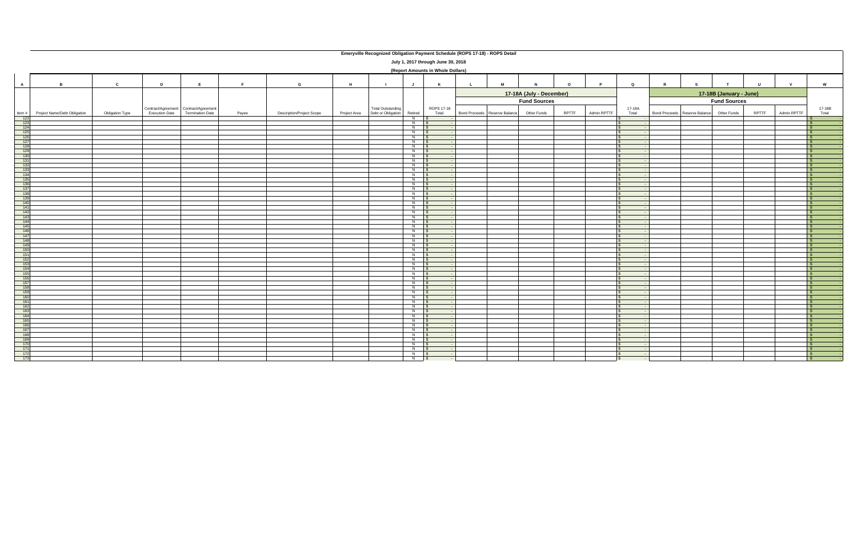|              | Emeryville Recognized Obligation Payment Schedule (ROPS 17-18) - ROPS Detail |                        |              |                                                                          |       |                                  |              |                                                |                          |                                   |                               |                     |         |              |                         |                         |                                           |                     |        |              |                                                    |
|--------------|------------------------------------------------------------------------------|------------------------|--------------|--------------------------------------------------------------------------|-------|----------------------------------|--------------|------------------------------------------------|--------------------------|-----------------------------------|-------------------------------|---------------------|---------|--------------|-------------------------|-------------------------|-------------------------------------------|---------------------|--------|--------------|----------------------------------------------------|
|              | July 1, 2017 through June 30, 2018                                           |                        |              |                                                                          |       |                                  |              |                                                |                          |                                   |                               |                     |         |              |                         |                         |                                           |                     |        |              |                                                    |
|              |                                                                              |                        |              |                                                                          |       |                                  |              |                                                |                          | (Report Amounts in Whole Dollars) |                               |                     |         |              |                         |                         |                                           |                     |        |              |                                                    |
| $\mathbf{A}$ | $\overline{B}$                                                               | $\mathbf{c}$           | $\mathbf{D}$ | E                                                                        | F.    | $\mathbf{G}$                     | H            | $\blacksquare$                                 | J                        | K                                 | M<br>L                        |                     | $\circ$ | $\mathbf{P}$ | $\mathbf Q$             | $\mathbf R$             | s                                         | $\mathbf{T}$        | $\cup$ | $\mathbf{v}$ | W                                                  |
|              |                                                                              |                        |              |                                                                          |       |                                  |              |                                                |                          |                                   | 17-18A (July - December)      |                     |         |              |                         | 17-18B (January - June) |                                           |                     |        |              |                                                    |
|              |                                                                              |                        |              |                                                                          |       |                                  |              |                                                |                          |                                   |                               | <b>Fund Sources</b> |         |              |                         |                         |                                           | <b>Fund Sources</b> |        |              |                                                    |
| Item $#$     | Project Name/Debt Obligation                                                 | <b>Obligation Type</b> |              | Contract/Agreement Contract/Agreement<br>Execution Date Termination Date | Payee | <b>Description/Project Scope</b> | Project Area | <b>Total Outstanding</b><br>Debt or Obligation | Retired                  | ROPS 17-18<br>Total               | Bond Proceeds Reserve Balance | Other Funds         | RPTTF   | Admin RPTTF  | 17-18A<br>Total         |                         | Bond Proceeds Reserve Balance Other Funds |                     | RPTTF  | Admin RPTTF  | 17-18B<br>Total                                    |
| 122<br>123   |                                                                              |                        |              |                                                                          |       |                                  |              |                                                | $N$ \$<br>$N$ \$         |                                   |                               |                     |         |              |                         |                         |                                           |                     |        |              | l \$                                               |
| 124          |                                                                              |                        |              |                                                                          |       |                                  |              |                                                | $N$ \$                   |                                   |                               |                     |         |              |                         |                         |                                           |                     |        |              | $\sqrt{S}$                                         |
| 125          |                                                                              |                        |              |                                                                          |       |                                  |              |                                                | $N$ \$                   |                                   |                               |                     |         |              |                         |                         |                                           |                     |        |              | $\sqrt{S}$                                         |
| 126<br>127   |                                                                              |                        |              |                                                                          |       |                                  |              |                                                | $N$ \$<br>$N$ \$         |                                   |                               |                     |         |              |                         |                         |                                           |                     |        |              | $\sqrt{S}$<br>$\mathsf{S}$                         |
| 128          |                                                                              |                        |              |                                                                          |       |                                  |              |                                                | $N$ \$                   |                                   |                               |                     |         |              |                         |                         |                                           |                     |        |              | $\sqrt{S}$                                         |
| 129          |                                                                              |                        |              |                                                                          |       |                                  |              |                                                | $N$ \$                   |                                   |                               |                     |         |              |                         |                         |                                           |                     |        |              | <b>S</b>                                           |
| 130<br>131   |                                                                              |                        |              |                                                                          |       |                                  |              |                                                | $N$ \$<br>$N$ \$         |                                   |                               |                     |         |              |                         |                         |                                           |                     |        |              | $\mathsf{S}$<br>$\sqrt{S}$                         |
| 132          |                                                                              |                        |              |                                                                          |       |                                  |              |                                                | $N$ \$                   |                                   |                               |                     |         |              |                         |                         |                                           |                     |        |              | $\sqrt{s}$                                         |
| 133          |                                                                              |                        |              |                                                                          |       |                                  |              |                                                | $N$ \$                   |                                   |                               |                     |         |              |                         |                         |                                           |                     |        |              | $\sqrt{S}$                                         |
| 134<br>135   |                                                                              |                        |              |                                                                          |       |                                  |              |                                                | $N$ \$<br>$N$ $\sqrt{S}$ |                                   |                               |                     |         |              |                         |                         |                                           |                     |        |              | <b>S</b><br>$\begin{array}{c} \bullet \end{array}$ |
| 136          |                                                                              |                        |              |                                                                          |       |                                  |              |                                                | $N$ \$                   |                                   |                               |                     |         |              |                         |                         |                                           |                     |        |              | $\sqrt{s}$                                         |
| 137          |                                                                              |                        |              |                                                                          |       |                                  |              |                                                | $N$ \$                   |                                   |                               |                     |         |              |                         |                         |                                           |                     |        |              | $\mathsf{S}$                                       |
| 138<br>139   |                                                                              |                        |              |                                                                          |       |                                  |              |                                                | $N$ \$<br>N \$           |                                   |                               |                     |         |              | $\overline{\mathbf{s}}$ |                         |                                           |                     |        |              | \$<br>$\sqrt{S}$                                   |
| 140          |                                                                              |                        |              |                                                                          |       |                                  |              |                                                | $N$ \$                   |                                   |                               |                     |         |              |                         |                         |                                           |                     |        |              | $\sqrt{s}$                                         |
| 141          |                                                                              |                        |              |                                                                          |       |                                  |              |                                                | $N$ \$                   |                                   |                               |                     |         |              |                         |                         |                                           |                     |        |              | $\sqrt{S}$                                         |
| 142<br>143   |                                                                              |                        |              |                                                                          |       |                                  |              |                                                | $N$ \$<br>$N$ \$         |                                   |                               |                     |         |              |                         |                         |                                           |                     |        |              | IS-<br>$\mathsf{S}$                                |
| 144          |                                                                              |                        |              |                                                                          |       |                                  |              |                                                | $N$ \$                   |                                   |                               |                     |         |              |                         |                         |                                           |                     |        |              | $\sqrt{S}$                                         |
| 145          |                                                                              |                        |              |                                                                          |       |                                  |              |                                                | $N$ \$                   |                                   |                               |                     |         |              |                         |                         |                                           |                     |        |              | $\mathbb{S}$                                       |
| 146<br>147   |                                                                              |                        |              |                                                                          |       |                                  |              |                                                | $N$ \$<br>$N$ \$         |                                   |                               |                     |         |              |                         |                         |                                           |                     |        |              | <b>S</b><br>$\mathsf{S}$                           |
| 148          |                                                                              |                        |              |                                                                          |       |                                  |              |                                                | $N$ \$                   |                                   |                               |                     |         |              |                         |                         |                                           |                     |        |              | $\sqrt{s}$                                         |
| 149          |                                                                              |                        |              |                                                                          |       |                                  |              |                                                | $N$ \$                   |                                   |                               |                     |         |              |                         |                         |                                           |                     |        |              | $\sqrt{S}$                                         |
| 150<br>151   |                                                                              |                        |              |                                                                          |       |                                  |              |                                                | $N$ \$<br>$N$ \$         |                                   |                               |                     |         |              |                         |                         |                                           |                     |        |              | <b>S</b><br><b>S</b>                               |
| 152          |                                                                              |                        |              |                                                                          |       |                                  |              |                                                | $N$ \$                   |                                   |                               |                     |         |              |                         |                         |                                           |                     |        |              | $\sqrt{s}$                                         |
| 153          |                                                                              |                        |              |                                                                          |       |                                  |              |                                                | $N$ \$                   |                                   |                               |                     |         |              |                         |                         |                                           |                     |        |              | $\sqrt{S}$                                         |
| 154<br>155   |                                                                              |                        |              |                                                                          |       |                                  |              |                                                | $N$ \$<br>N \$           |                                   |                               |                     |         |              | $\overline{\mathbf{s}}$ |                         |                                           |                     |        |              | \$<br>$\sqrt{S}$                                   |
| 156          |                                                                              |                        |              |                                                                          |       |                                  |              |                                                | $N$ \$                   |                                   |                               |                     |         |              |                         |                         |                                           |                     |        |              | $\sqrt{s}$                                         |
| 157          |                                                                              |                        |              |                                                                          |       |                                  |              |                                                | $N$ \$                   |                                   |                               |                     |         |              |                         |                         |                                           |                     |        |              | $\sqrt{S}$                                         |
| 158<br>159   |                                                                              |                        |              |                                                                          |       |                                  |              |                                                | $N$ \$<br>$N$ \$         |                                   |                               |                     |         |              |                         |                         |                                           |                     |        |              | $\sqrt{S}$<br>IS-                                  |
| 160          |                                                                              |                        |              |                                                                          |       |                                  |              |                                                | $N$ \$                   |                                   |                               |                     |         |              |                         |                         |                                           |                     |        |              | IS.                                                |
| 161          |                                                                              |                        |              |                                                                          |       |                                  |              |                                                | $N$ \$                   |                                   |                               |                     |         |              |                         |                         |                                           |                     |        |              | $\mathbf{s}$                                       |
| 162<br>163   |                                                                              |                        |              |                                                                          |       |                                  |              |                                                | $N$ \$<br>$N$ \$         |                                   |                               |                     |         |              | $\mathbb{R}$            |                         |                                           |                     |        |              | <b>S</b>                                           |
| 164          |                                                                              |                        |              |                                                                          |       |                                  |              |                                                | $N$ \$                   |                                   |                               |                     |         |              |                         |                         |                                           |                     |        |              | $\sqrt{S}$<br>$\sqrt{s}$                           |
| 165          |                                                                              |                        |              |                                                                          |       |                                  |              |                                                | $N$ \$                   |                                   |                               |                     |         |              |                         |                         |                                           |                     |        |              | $\sqrt{5}$                                         |
| 166<br>167   |                                                                              |                        |              |                                                                          |       |                                  |              |                                                | $N$ \$                   |                                   |                               |                     |         |              |                         |                         |                                           |                     |        |              | $\sqrt{S}$                                         |
| 168          |                                                                              |                        |              |                                                                          |       |                                  |              |                                                | $N$ \$<br>$N$ \$         |                                   |                               |                     |         |              |                         |                         |                                           |                     |        |              | <b>S</b><br>$\sqrt{s}$                             |
| 169          |                                                                              |                        |              |                                                                          |       |                                  |              |                                                | $N$ \$                   |                                   |                               |                     |         |              |                         |                         |                                           |                     |        |              | $\sqrt{S}$                                         |
| 170          |                                                                              |                        |              |                                                                          |       |                                  |              |                                                | $N$ \$                   |                                   |                               |                     |         |              |                         |                         |                                           |                     |        |              | \$                                                 |
| 171<br>172   |                                                                              |                        |              |                                                                          |       |                                  |              |                                                | $N$ $\sqrt$<br>N \$      |                                   |                               |                     |         |              | $\overline{\mathbf{s}}$ |                         |                                           |                     |        |              | $\sqrt{s}$                                         |
| 173          |                                                                              |                        |              |                                                                          |       |                                  |              |                                                | $N$ \$                   |                                   |                               |                     |         |              |                         |                         |                                           |                     |        |              |                                                    |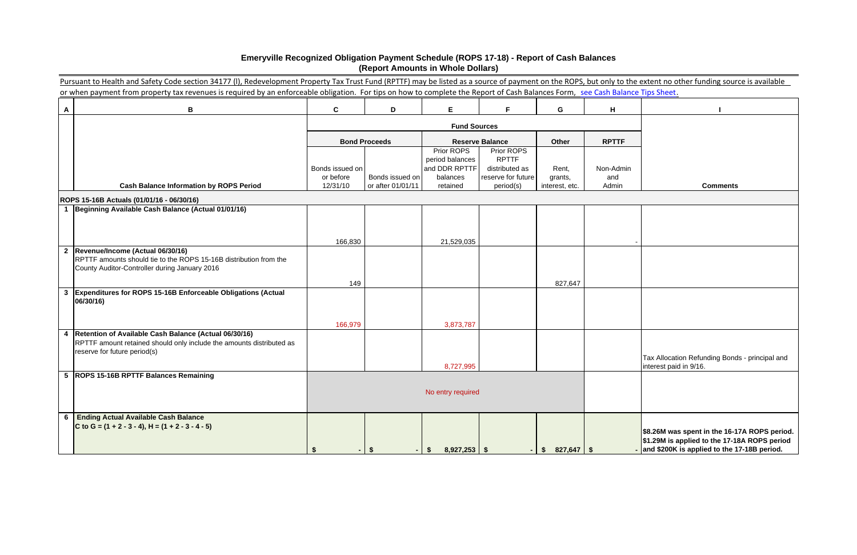|   | Pursuant to Health and Safety Code section 34177 (I), Redevelopment Property Tax Trust Fund (RPTTF) may be listed as a source of payment on the ROPS, but only to the extent no other funding source is available |                       |                                      |                                  |                                 |                              |              |                                                                          |
|---|-------------------------------------------------------------------------------------------------------------------------------------------------------------------------------------------------------------------|-----------------------|--------------------------------------|----------------------------------|---------------------------------|------------------------------|--------------|--------------------------------------------------------------------------|
|   | or when payment from property tax revenues is required by an enforceable obligation. For tips on how to complete the Report of Cash Balances Form, see Cash Balance Tips Sheet.                                   |                       |                                      |                                  |                                 |                              |              |                                                                          |
| A | B                                                                                                                                                                                                                 | $\mathbf{C}$          | D                                    | E.                               | F.                              | G                            | H            |                                                                          |
|   |                                                                                                                                                                                                                   |                       |                                      |                                  |                                 |                              |              |                                                                          |
|   |                                                                                                                                                                                                                   |                       | <b>Bond Proceeds</b>                 |                                  | <b>Reserve Balance</b>          | Other                        | <b>RPTTF</b> |                                                                          |
|   |                                                                                                                                                                                                                   |                       |                                      | Prior ROPS                       | Prior ROPS<br><b>RPTTF</b>      |                              |              |                                                                          |
|   |                                                                                                                                                                                                                   | Bonds issued on       |                                      | period balances<br>and DDR RPTTF | distributed as                  | Rent,                        | Non-Admin    |                                                                          |
|   | <b>Cash Balance Information by ROPS Period</b>                                                                                                                                                                    | or before<br>12/31/10 | Bonds issued on<br>or after 01/01/11 | balances<br>retained             | reserve for future<br>period(s) | grants,<br>interest, etc.    | and<br>Admin | <b>Comments</b>                                                          |
|   |                                                                                                                                                                                                                   |                       |                                      |                                  |                                 |                              |              |                                                                          |
|   | ROPS 15-16B Actuals (01/01/16 - 06/30/16)<br>1 Beginning Available Cash Balance (Actual 01/01/16)                                                                                                                 |                       |                                      |                                  |                                 |                              |              |                                                                          |
|   |                                                                                                                                                                                                                   |                       |                                      |                                  |                                 |                              |              |                                                                          |
|   |                                                                                                                                                                                                                   |                       |                                      |                                  |                                 |                              |              |                                                                          |
|   |                                                                                                                                                                                                                   | 166,830               |                                      | 21,529,035                       |                                 |                              |              |                                                                          |
|   | 2  Revenue/Income (Actual 06/30/16)<br>RPTTF amounts should tie to the ROPS 15-16B distribution from the                                                                                                          |                       |                                      |                                  |                                 |                              |              |                                                                          |
|   | County Auditor-Controller during January 2016                                                                                                                                                                     |                       |                                      |                                  |                                 |                              |              |                                                                          |
|   |                                                                                                                                                                                                                   | 149                   |                                      |                                  |                                 | 827,647                      |              |                                                                          |
|   | 3 Expenditures for ROPS 15-16B Enforceable Obligations (Actual                                                                                                                                                    |                       |                                      |                                  |                                 |                              |              |                                                                          |
|   | 06/30/16)                                                                                                                                                                                                         |                       |                                      |                                  |                                 |                              |              |                                                                          |
|   |                                                                                                                                                                                                                   |                       |                                      |                                  |                                 |                              |              |                                                                          |
|   |                                                                                                                                                                                                                   | 166,979               |                                      | 3,873,787                        |                                 |                              |              |                                                                          |
|   | 4   Retention of Available Cash Balance (Actual 06/30/16)<br>RPTTF amount retained should only include the amounts distributed as                                                                                 |                       |                                      |                                  |                                 |                              |              |                                                                          |
|   | reserve for future period(s)                                                                                                                                                                                      |                       |                                      |                                  |                                 |                              |              |                                                                          |
|   |                                                                                                                                                                                                                   |                       |                                      | 8,727,995                        |                                 |                              |              | Tax Allocation Refunding Bonds - principal and<br>interest paid in 9/16. |
|   | 5 ROPS 15-16B RPTTF Balances Remaining                                                                                                                                                                            |                       |                                      |                                  |                                 |                              |              |                                                                          |
|   |                                                                                                                                                                                                                   |                       |                                      | No entry required                |                                 |                              |              |                                                                          |
|   |                                                                                                                                                                                                                   |                       |                                      |                                  |                                 |                              |              |                                                                          |
| 6 | <b>Ending Actual Available Cash Balance</b>                                                                                                                                                                       |                       |                                      |                                  |                                 |                              |              |                                                                          |
|   | C to G = $(1 + 2 - 3 - 4)$ , H = $(1 + 2 - 3 - 4 - 5)$                                                                                                                                                            |                       |                                      |                                  |                                 |                              |              | \$8.26M was spent in the 16-17A ROPS period.                             |
|   |                                                                                                                                                                                                                   |                       |                                      |                                  |                                 |                              |              | \$1.29M is applied to the 17-18A ROPS period                             |
|   |                                                                                                                                                                                                                   |                       |                                      | $8,927,253$ \$<br><sup>\$</sup>  |                                 | $827,647$ \$<br>$\mathbf{s}$ |              | $\frac{1}{2}$ and \$200K is applied to the 17-18B period.                |

# **Emeryville Recognized Obligation Payment Schedule (ROPS 17-18) - Report of Cash Balances (Report Amounts in Whole Dollars)**